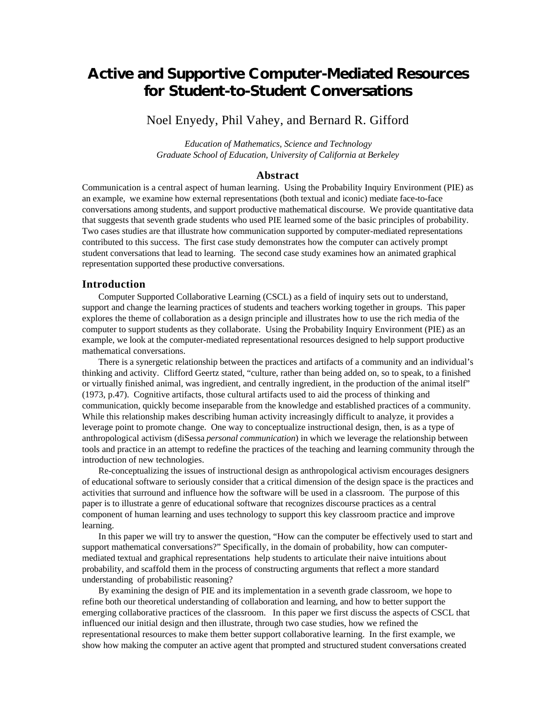# **Active and Supportive Computer-Mediated Resources for Student-to-Student Conversations**

# Noel Enyedy, Phil Vahey, and Bernard R. Gifford

*Education of Mathematics, Science and Technology Graduate School of Education, University of California at Berkeley*

## **Abstract**

Communication is a central aspect of human learning. Using the Probability Inquiry Environment (PIE) as an example, we examine how external representations (both textual and iconic) mediate face-to-face conversations among students, and support productive mathematical discourse. We provide quantitative data that suggests that seventh grade students who used PIE learned some of the basic principles of probability. Two cases studies are that illustrate how communication supported by computer-mediated representations contributed to this success. The first case study demonstrates how the computer can actively prompt student conversations that lead to learning. The second case study examines how an animated graphical representation supported these productive conversations.

## **Introduction**

Computer Supported Collaborative Learning (CSCL) as a field of inquiry sets out to understand, support and change the learning practices of students and teachers working together in groups. This paper explores the theme of collaboration as a design principle and illustrates how to use the rich media of the computer to support students as they collaborate. Using the Probability Inquiry Environment (PIE) as an example, we look at the computer-mediated representational resources designed to help support productive mathematical conversations.

There is a synergetic relationship between the practices and artifacts of a community and an individual's thinking and activity. Clifford Geertz stated, "culture, rather than being added on, so to speak, to a finished or virtually finished animal, was ingredient, and centrally ingredient, in the production of the animal itself" (1973, p.47). Cognitive artifacts, those cultural artifacts used to aid the process of thinking and communication, quickly become inseparable from the knowledge and established practices of a community. While this relationship makes describing human activity increasingly difficult to analyze, it provides a leverage point to promote change. One way to conceptualize instructional design, then, is as a type of anthropological activism (diSessa *personal communication*) in which we leverage the relationship between tools and practice in an attempt to redefine the practices of the teaching and learning community through the introduction of new technologies.

Re-conceptualizing the issues of instructional design as anthropological activism encourages designers of educational software to seriously consider that a critical dimension of the design space is the practices and activities that surround and influence how the software will be used in a classroom. The purpose of this paper is to illustrate a genre of educational software that recognizes discourse practices as a central component of human learning and uses technology to support this key classroom practice and improve learning.

In this paper we will try to answer the question, "How can the computer be effectively used to start and support mathematical conversations?" Specifically, in the domain of probability, how can computermediated textual and graphical representations help students to articulate their naive intuitions about probability, and scaffold them in the process of constructing arguments that reflect a more standard understanding of probabilistic reasoning?

By examining the design of PIE and its implementation in a seventh grade classroom, we hope to refine both our theoretical understanding of collaboration and learning, and how to better support the emerging collaborative practices of the classroom. In this paper we first discuss the aspects of CSCL that influenced our initial design and then illustrate, through two case studies, how we refined the representational resources to make them better support collaborative learning. In the first example, we show how making the computer an active agent that prompted and structured student conversations created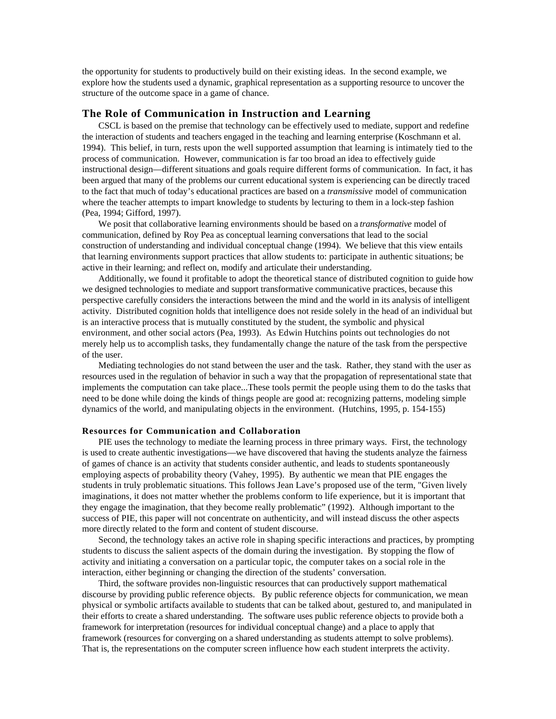the opportunity for students to productively build on their existing ideas. In the second example, we explore how the students used a dynamic, graphical representation as a supporting resource to uncover the structure of the outcome space in a game of chance.

#### **The Role of Communication in Instruction and Learning**

CSCL is based on the premise that technology can be effectively used to mediate, support and redefine the interaction of students and teachers engaged in the teaching and learning enterprise (Koschmann et al. 1994). This belief, in turn, rests upon the well supported assumption that learning is intimately tied to the process of communication. However, communication is far too broad an idea to effectively guide instructional design—different situations and goals require different forms of communication. In fact, it has been argued that many of the problems our current educational system is experiencing can be directly traced to the fact that much of today's educational practices are based on a *transmissive* model of communication where the teacher attempts to impart knowledge to students by lecturing to them in a lock-step fashion (Pea, 1994; Gifford, 1997).

We posit that collaborative learning environments should be based on a *transformative* model of communication, defined by Roy Pea as conceptual learning conversations that lead to the social construction of understanding and individual conceptual change (1994). We believe that this view entails that learning environments support practices that allow students to: participate in authentic situations; be active in their learning; and reflect on, modify and articulate their understanding.

Additionally, we found it profitable to adopt the theoretical stance of distributed cognition to guide how we designed technologies to mediate and support transformative communicative practices, because this perspective carefully considers the interactions between the mind and the world in its analysis of intelligent activity. Distributed cognition holds that intelligence does not reside solely in the head of an individual but is an interactive process that is mutually constituted by the student, the symbolic and physical environment, and other social actors (Pea, 1993). As Edwin Hutchins points out technologies do not merely help us to accomplish tasks, they fundamentally change the nature of the task from the perspective of the user.

Mediating technologies do not stand between the user and the task. Rather, they stand with the user as resources used in the regulation of behavior in such a way that the propagation of representational state that implements the computation can take place...These tools permit the people using them to do the tasks that need to be done while doing the kinds of things people are good at: recognizing patterns, modeling simple dynamics of the world, and manipulating objects in the environment. (Hutchins, 1995, p. 154-155)

#### **Resources for Communication and Collaboration**

PIE uses the technology to mediate the learning process in three primary ways. First, the technology is used to create authentic investigations—we have discovered that having the students analyze the fairness of games of chance is an activity that students consider authentic, and leads to students spontaneously employing aspects of probability theory (Vahey, 1995). By authentic we mean that PIE engages the students in truly problematic situations. This follows Jean Lave's proposed use of the term, "Given lively imaginations, it does not matter whether the problems conform to life experience, but it is important that they engage the imagination, that they become really problematic" (1992). Although important to the success of PIE, this paper will not concentrate on authenticity, and will instead discuss the other aspects more directly related to the form and content of student discourse.

Second, the technology takes an active role in shaping specific interactions and practices, by prompting students to discuss the salient aspects of the domain during the investigation. By stopping the flow of activity and initiating a conversation on a particular topic, the computer takes on a social role in the interaction, either beginning or changing the direction of the students' conversation.

Third, the software provides non-linguistic resources that can productively support mathematical discourse by providing public reference objects. By public reference objects for communication, we mean physical or symbolic artifacts available to students that can be talked about, gestured to, and manipulated in their efforts to create a shared understanding. The software uses public reference objects to provide both a framework for interpretation (resources for individual conceptual change) and a place to apply that framework (resources for converging on a shared understanding as students attempt to solve problems). That is, the representations on the computer screen influence how each student interprets the activity.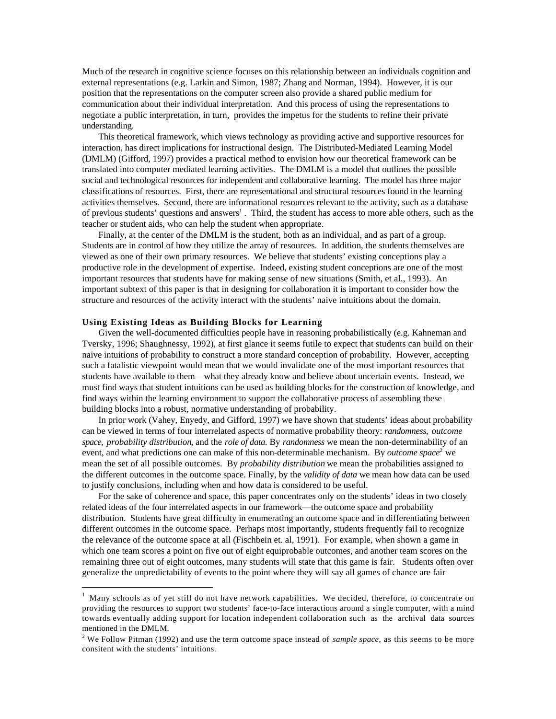Much of the research in cognitive science focuses on this relationship between an individuals cognition and external representations (e.g. Larkin and Simon, 1987; Zhang and Norman, 1994). However, it is our position that the representations on the computer screen also provide a shared public medium for communication about their individual interpretation. And this process of using the representations to negotiate a public interpretation, in turn, provides the impetus for the students to refine their private understanding.

This theoretical framework, which views technology as providing active and supportive resources for interaction, has direct implications for instructional design. The Distributed-Mediated Learning Model (DMLM) (Gifford, 1997) provides a practical method to envision how our theoretical framework can be translated into computer mediated learning activities. The DMLM is a model that outlines the possible social and technological resources for independent and collaborative learning. The model has three major classifications of resources. First, there are representational and structural resources found in the learning activities themselves. Second, there are informational resources relevant to the activity, such as a database of previous students' questions and answers<sup>1</sup>. Third, the student has access to more able others, such as the teacher or student aids, who can help the student when appropriate.

Finally, at the center of the DMLM is the student, both as an individual, and as part of a group. Students are in control of how they utilize the array of resources. In addition, the students themselves are viewed as one of their own primary resources. We believe that students' existing conceptions play a productive role in the development of expertise. Indeed, existing student conceptions are one of the most important resources that students have for making sense of new situations (Smith, et al., 1993). An important subtext of this paper is that in designing for collaboration it is important to consider how the structure and resources of the activity interact with the students' naive intuitions about the domain.

#### **Using Existing Ideas as Building Blocks for Learning**

 $\overline{a}$ 

Given the well-documented difficulties people have in reasoning probabilistically (e.g. Kahneman and Tversky, 1996; Shaughnessy, 1992), at first glance it seems futile to expect that students can build on their naive intuitions of probability to construct a more standard conception of probability. However, accepting such a fatalistic viewpoint would mean that we would invalidate one of the most important resources that students have available to them—what they already know and believe about uncertain events. Instead, we must find ways that student intuitions can be used as building blocks for the construction of knowledge, and find ways within the learning environment to support the collaborative process of assembling these building blocks into a robust, normative understanding of probability.

In prior work (Vahey, Enyedy, and Gifford, 1997) we have shown that students' ideas about probability can be viewed in terms of four interrelated aspects of normative probability theory: *randomness*, *outcome space*, *probability distribution*, and the *role of data.* By *randomness* we mean the non-determinability of an event, and what predictions one can make of this non-determinable mechanism. By *outcome space*<sup>2</sup> we mean the set of all possible outcomes. By *probability distribution* we mean the probabilities assigned to the different outcomes in the outcome space. Finally, by the *validity of data* we mean how data can be used to justify conclusions, including when and how data is considered to be useful.

For the sake of coherence and space, this paper concentrates only on the students' ideas in two closely related ideas of the four interrelated aspects in our framework—the outcome space and probability distribution. Students have great difficulty in enumerating an outcome space and in differentiating between different outcomes in the outcome space. Perhaps most importantly, students frequently fail to recognize the relevance of the outcome space at all (Fischbein et. al, 1991). For example, when shown a game in which one team scores a point on five out of eight equiprobable outcomes, and another team scores on the remaining three out of eight outcomes, many students will state that this game is fair. Students often over generalize the unpredictability of events to the point where they will say all games of chance are fair

<sup>1</sup> Many schools as of yet still do not have network capabilities. We decided, therefore, to concentrate on providing the resources to support two students' face-to-face interactions around a single computer, with a mind towards eventually adding support for location independent collaboration such as the archival data sources mentioned in the DMLM.

<sup>2</sup> We Follow Pitman (1992) and use the term outcome space instead of *sample space*, as this seems to be more consitent with the students' intuitions.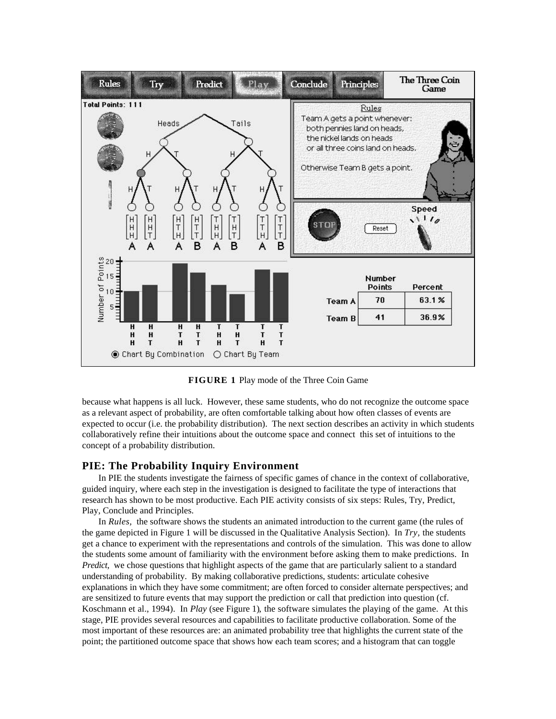

**FIGURE 1** Play mode of the Three Coin Game

because what happens is all luck. However, these same students, who do not recognize the outcome space as a relevant aspect of probability, are often comfortable talking about how often classes of events are expected to occur (i.e. the probability distribution). The next section describes an activity in which students collaboratively refine their intuitions about the outcome space and connect this set of intuitions to the concept of a probability distribution.

# **PIE: The Probability Inquiry Environment**

In PIE the students investigate the fairness of specific games of chance in the context of collaborative, guided inquiry, where each step in the investigation is designed to facilitate the type of interactions that research has shown to be most productive. Each PIE activity consists of six steps: Rules, Try, Predict, Play, Conclude and Principles.

In *Rules,* the software shows the students an animated introduction to the current game (the rules of the game depicted in Figure 1 will be discussed in the Qualitative Analysis Section). In *Try,* the students get a chance to experiment with the representations and controls of the simulation. This was done to allow the students some amount of familiarity with the environment before asking them to make predictions. In *Predict*, we chose questions that highlight aspects of the game that are particularly salient to a standard understanding of probability. By making collaborative predictions, students: articulate cohesive explanations in which they have some commitment; are often forced to consider alternate perspectives; and are sensitized to future events that may support the prediction or call that prediction into question (cf. Koschmann et al., 1994). In *Play* (see Figure 1)*,* the software simulates the playing of the game. At this stage, PIE provides several resources and capabilities to facilitate productive collaboration. Some of the most important of these resources are: an animated probability tree that highlights the current state of the point; the partitioned outcome space that shows how each team scores; and a histogram that can toggle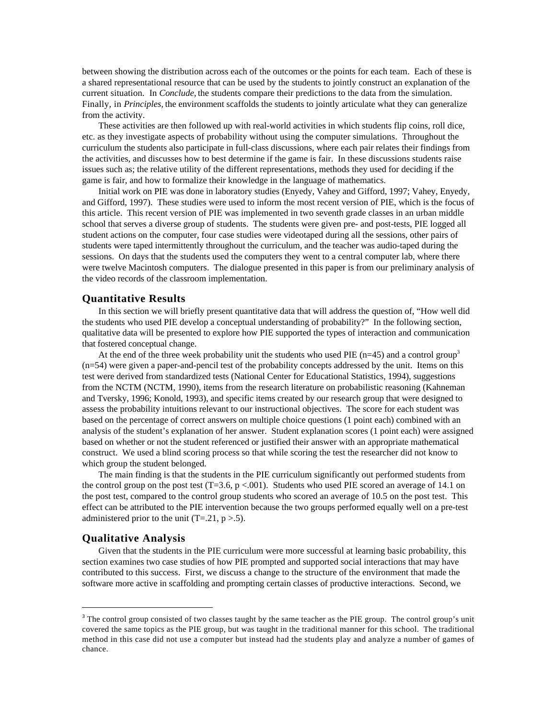between showing the distribution across each of the outcomes or the points for each team. Each of these is a shared representational resource that can be used by the students to jointly construct an explanation of the current situation. In *Conclude,* the students compare their predictions to the data from the simulation. Finally, in *Principles,* the environment scaffolds the students to jointly articulate what they can generalize from the activity.

These activities are then followed up with real-world activities in which students flip coins, roll dice, etc. as they investigate aspects of probability without using the computer simulations. Throughout the curriculum the students also participate in full-class discussions, where each pair relates their findings from the activities, and discusses how to best determine if the game is fair. In these discussions students raise issues such as; the relative utility of the different representations, methods they used for deciding if the game is fair, and how to formalize their knowledge in the language of mathematics.

Initial work on PIE was done in laboratory studies (Enyedy, Vahey and Gifford, 1997; Vahey, Enyedy, and Gifford, 1997). These studies were used to inform the most recent version of PIE, which is the focus of this article. This recent version of PIE was implemented in two seventh grade classes in an urban middle school that serves a diverse group of students. The students were given pre- and post-tests, PIE logged all student actions on the computer, four case studies were videotaped during all the sessions, other pairs of students were taped intermittently throughout the curriculum, and the teacher was audio-taped during the sessions. On days that the students used the computers they went to a central computer lab, where there were twelve Macintosh computers. The dialogue presented in this paper is from our preliminary analysis of the video records of the classroom implementation.

### **Quantitative Results**

In this section we will briefly present quantitative data that will address the question of, "How well did the students who used PIE develop a conceptual understanding of probability?" In the following section, qualitative data will be presented to explore how PIE supported the types of interaction and communication that fostered conceptual change.

At the end of the three week probability unit the students who used PIE ( $n=45$ ) and a control group<sup>3</sup> (n=54) were given a paper-and-pencil test of the probability concepts addressed by the unit. Items on this test were derived from standardized tests (National Center for Educational Statistics, 1994), suggestions from the NCTM (NCTM, 1990), items from the research literature on probabilistic reasoning (Kahneman and Tversky, 1996; Konold, 1993), and specific items created by our research group that were designed to assess the probability intuitions relevant to our instructional objectives. The score for each student was based on the percentage of correct answers on multiple choice questions (1 point each) combined with an analysis of the student's explanation of her answer. Student explanation scores (1 point each) were assigned based on whether or not the student referenced or justified their answer with an appropriate mathematical construct. We used a blind scoring process so that while scoring the test the researcher did not know to which group the student belonged.

The main finding is that the students in the PIE curriculum significantly out performed students from the control group on the post test  $(T=3.6, p < .001)$ . Students who used PIE scored an average of 14.1 on the post test, compared to the control group students who scored an average of 10.5 on the post test. This effect can be attributed to the PIE intervention because the two groups performed equally well on a pre-test administered prior to the unit  $(T=.21, p>.5)$ .

# **Qualitative Analysis**

 $\overline{a}$ 

Given that the students in the PIE curriculum were more successful at learning basic probability, this section examines two case studies of how PIE prompted and supported social interactions that may have contributed to this success. First, we discuss a change to the structure of the environment that made the software more active in scaffolding and prompting certain classes of productive interactions. Second, we

<sup>&</sup>lt;sup>3</sup> The control group consisted of two classes taught by the same teacher as the PIE group. The control group's unit covered the same topics as the PIE group, but was taught in the traditional manner for this school. The traditional method in this case did not use a computer but instead had the students play and analyze a number of games of chance.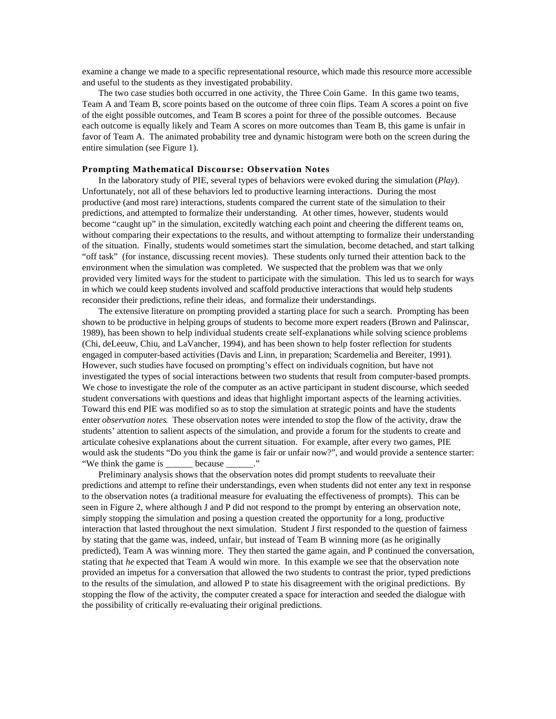examine a change we made to a specific representational resource, which made this resource more accessible and useful to the students as they investigated probability.

The two case studies both occurred in one activity, the Three Coin Game. In this game two teams, Team A and Team B, score points based on the outcome of three coin flips. Team A scores a point on five of the eight possible outcomes, and Team B scores a point for three of the possible outcomes. Because each outcome is equally likely and Team A scores on more outcomes than Team B, this game is unfair in favor of Team A. The animated probability tree and dynamic histogram were both on the screen during the entire simulation (see Figure 1).

#### **Prompting Mathematical Discourse: Observation Notes**

In the laboratory study of PIE, several types of behaviors were evoked during the simulation (*Play*). Unfortunately, not all of these behaviors led to productive learning interactions. During the most productive (and most rare) interactions, students compared the current state of the simulation to their predictions, and attempted to formalize their understanding. At other times, however, students would become "caught up" in the simulation, excitedly watching each point and cheering the different teams on, without comparing their expectations to the results, and without attempting to formalize their understanding of the situation. Finally, students would sometimes start the simulation, become detached, and start talking "off task" (for instance, discussing recent movies). These students only turned their attention back to the environment when the simulation was completed. We suspected that the problem was that we only provided very limited ways for the student to participate with the simulation. This led us to search for ways in which we could keep students involved and scaffold productive interactions that would help students reconsider their predictions, refine their ideas, and formalize their understandings.

The extensive literature on prompting provided a starting place for such a search. Prompting has been shown to be productive in helping groups of students to become more expert readers (Brown and Palinscar, 1989), has been shown to help individual students create self-explanations while solving science problems (Chi, deLeeuw, Chiu, and LaVancher, 1994), and has been shown to help foster reflection for students engaged in computer-based activities (Davis and Linn, in preparation; Scardemelia and Bereiter, 1991). However, such studies have focused on prompting's effect on individuals cognition, but have not investigated the types of social interactions between two students that result from computer-based prompts. We chose to investigate the role of the computer as an active participant in student discourse, which seeded student conversations with questions and ideas that highlight important aspects of the learning activities. Toward this end PIE was modified so as to stop the simulation at strategic points and have the students enter *observation notes*. These observation notes were intended to stop the flow of the activity, draw the students' attention to salient aspects of the simulation, and provide a forum for the students to create and articulate cohesive explanations about the current situation. For example, after every two games, PIE would ask the students "Do you think the game is fair or unfair now?", and would provide a sentence starter: "We think the game is \_\_\_\_\_\_ because \_\_\_\_\_\_."

Preliminary analysis shows that the observation notes did prompt students to reevaluate their predictions and attempt to refine their understandings, even when students did not enter any text in response to the observation notes (a traditional measure for evaluating the effectiveness of prompts). This can be seen in Figure 2, where although J and P did not respond to the prompt by entering an observation note, simply stopping the simulation and posing a question created the opportunity for a long, productive interaction that lasted throughout the next simulation. Student J first responded to the question of fairness by stating that the game was, indeed, unfair, but instead of Team B winning more (as he originally predicted), Team A was winning more. They then started the game again, and P continued the conversation, stating that *he* expected that Team A would win more. In this example we see that the observation note provided an impetus for a conversation that allowed the two students to contrast the prior, typed predictions to the results of the simulation, and allowed P to state his disagreement with the original predictions. By stopping the flow of the activity, the computer created a space for interaction and seeded the dialogue with the possibility of critically re-evaluating their original predictions.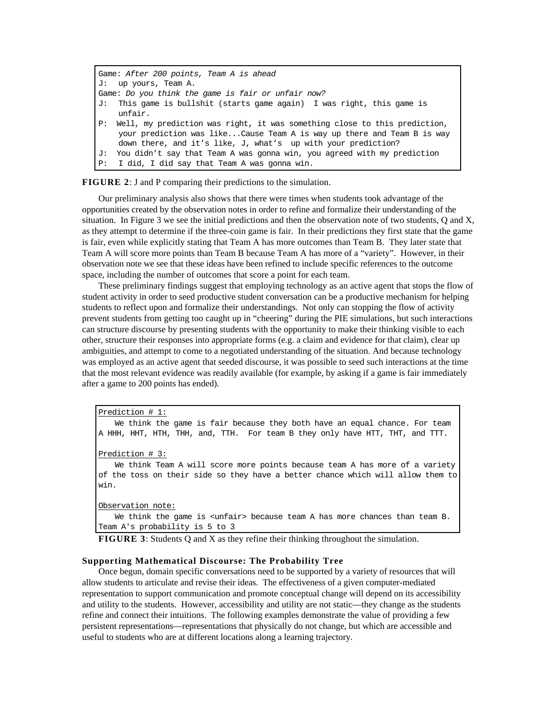```
Game: After 200 points, Team A is ahead
J: up yours, Team A.
Game: Do you think the game is fair or unfair now?
J: This game is bullshit (starts game again) I was right, this game is
    unfair.
P: Well, my prediction was right, it was something close to this prediction,
    your prediction was like...Cause Team A is way up there and Team B is way
    down there, and it's like, J, what's up with your prediction?
J: You didn't say that Team A was gonna win, you agreed with my prediction
P: I did, I did say that Team A was gonna win.
```
**FIGURE 2**: J and P comparing their predictions to the simulation.

Our preliminary analysis also shows that there were times when students took advantage of the opportunities created by the observation notes in order to refine and formalize their understanding of the situation. In Figure 3 we see the initial predictions and then the observation note of two students, Q and X, as they attempt to determine if the three-coin game is fair. In their predictions they first state that the game is fair, even while explicitly stating that Team A has more outcomes than Team B. They later state that Team A will score more points than Team B because Team A has more of a "variety". However, in their observation note we see that these ideas have been refined to include specific references to the outcome space, including the number of outcomes that score a point for each team.

These preliminary findings suggest that employing technology as an active agent that stops the flow of student activity in order to seed productive student conversation can be a productive mechanism for helping students to reflect upon and formalize their understandings. Not only can stopping the flow of activity prevent students from getting too caught up in "cheering" during the PIE simulations, but such interactions can structure discourse by presenting students with the opportunity to make their thinking visible to each other, structure their responses into appropriate forms (e.g. a claim and evidence for that claim), clear up ambiguities, and attempt to come to a negotiated understanding of the situation. And because technology was employed as an active agent that seeded discourse, it was possible to seed such interactions at the time that the most relevant evidence was readily available (for example, by asking if a game is fair immediately after a game to 200 points has ended).

#### Prediction # 1:

We think the game is fair because they both have an equal chance. For team A HHH, HHT, HTH, THH, and, TTH. For team B they only have HTT, THT, and TTT.

Prediction # 3:

We think Team A will score more points because team A has more of a variety of the toss on their side so they have a better chance which will allow them to win.

#### Observation note:

We think the game is <unfair> because team A has more chances than team B. Team A's probability is 5 to 3

**FIGURE 3**: Students Q and X as they refine their thinking throughout the simulation.

#### **Supporting Mathematical Discourse: The Probability Tree**

Once begun, domain specific conversations need to be supported by a variety of resources that will allow students to articulate and revise their ideas. The effectiveness of a given computer-mediated representation to support communication and promote conceptual change will depend on its accessibility and utility to the students. However, accessibility and utility are not static—they change as the students refine and connect their intuitions. The following examples demonstrate the value of providing a few persistent representations—representations that physically do not change, but which are accessible and useful to students who are at different locations along a learning trajectory.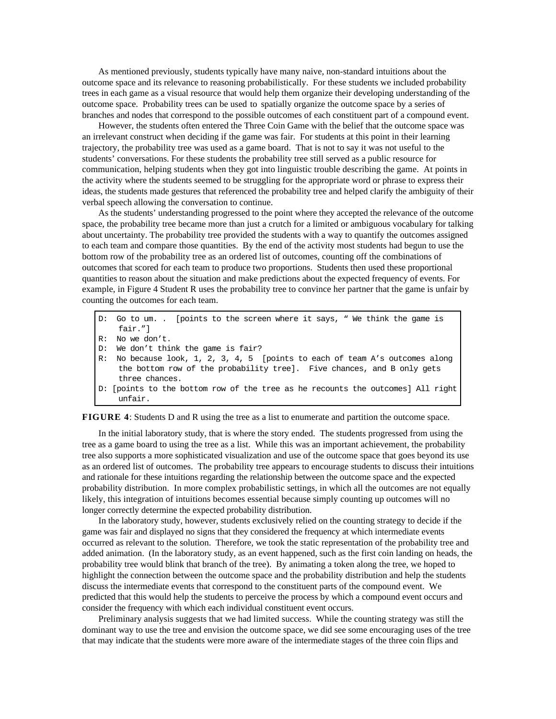As mentioned previously, students typically have many naive, non-standard intuitions about the outcome space and its relevance to reasoning probabilistically. For these students we included probability trees in each game as a visual resource that would help them organize their developing understanding of the outcome space. Probability trees can be used to spatially organize the outcome space by a series of branches and nodes that correspond to the possible outcomes of each constituent part of a compound event.

However, the students often entered the Three Coin Game with the belief that the outcome space was an irrelevant construct when deciding if the game was fair. For students at this point in their learning trajectory, the probability tree was used as a game board. That is not to say it was not useful to the students' conversations. For these students the probability tree still served as a public resource for communication, helping students when they got into linguistic trouble describing the game. At points in the activity where the students seemed to be struggling for the appropriate word or phrase to express their ideas, the students made gestures that referenced the probability tree and helped clarify the ambiguity of their verbal speech allowing the conversation to continue.

As the students' understanding progressed to the point where they accepted the relevance of the outcome space, the probability tree became more than just a crutch for a limited or ambiguous vocabulary for talking about uncertainty. The probability tree provided the students with a way to quantify the outcomes assigned to each team and compare those quantities. By the end of the activity most students had begun to use the bottom row of the probability tree as an ordered list of outcomes, counting off the combinations of outcomes that scored for each team to produce two proportions. Students then used these proportional quantities to reason about the situation and make predictions about the expected frequency of events. For example, in Figure 4 Student R uses the probability tree to convince her partner that the game is unfair by counting the outcomes for each team.

- D: Go to um. . [points to the screen where it says, " We think the game is fair."]
- R: No we don't.
- D: We don't think the game is fair?
- R: No because look, 1, 2, 3, 4, 5 [points to each of team A's outcomes along the bottom row of the probability tree]. Five chances, and B only gets three chances.
- D: [points to the bottom row of the tree as he recounts the outcomes] All right unfair.

**FIGURE 4**: Students D and R using the tree as a list to enumerate and partition the outcome space.

In the initial laboratory study, that is where the story ended. The students progressed from using the tree as a game board to using the tree as a list. While this was an important achievement, the probability tree also supports a more sophisticated visualization and use of the outcome space that goes beyond its use as an ordered list of outcomes. The probability tree appears to encourage students to discuss their intuitions and rationale for these intuitions regarding the relationship between the outcome space and the expected probability distribution. In more complex probabilistic settings, in which all the outcomes are not equally likely, this integration of intuitions becomes essential because simply counting up outcomes will no longer correctly determine the expected probability distribution.

In the laboratory study, however, students exclusively relied on the counting strategy to decide if the game was fair and displayed no signs that they considered the frequency at which intermediate events occurred as relevant to the solution. Therefore, we took the static representation of the probability tree and added animation. (In the laboratory study, as an event happened, such as the first coin landing on heads, the probability tree would blink that branch of the tree). By animating a token along the tree, we hoped to highlight the connection between the outcome space and the probability distribution and help the students discuss the intermediate events that correspond to the constituent parts of the compound event. We predicted that this would help the students to perceive the process by which a compound event occurs and consider the frequency with which each individual constituent event occurs.

Preliminary analysis suggests that we had limited success. While the counting strategy was still the dominant way to use the tree and envision the outcome space, we did see some encouraging uses of the tree that may indicate that the students were more aware of the intermediate stages of the three coin flips and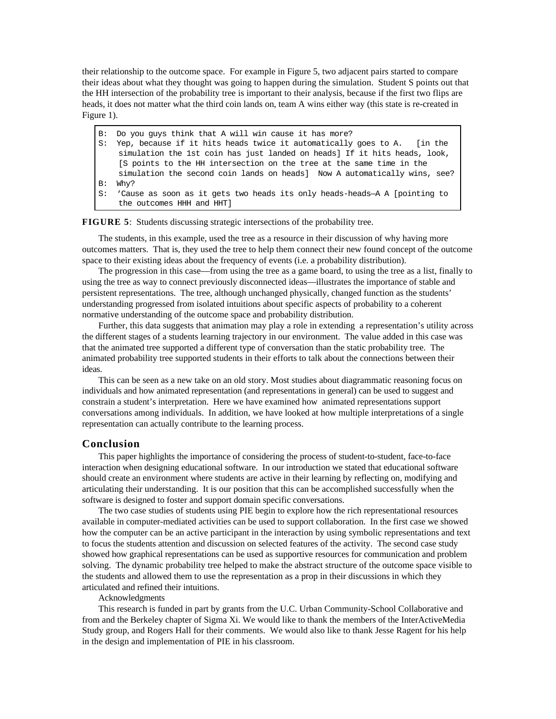their relationship to the outcome space. For example in Figure 5, two adjacent pairs started to compare their ideas about what they thought was going to happen during the simulation. Student S points out that the HH intersection of the probability tree is important to their analysis, because if the first two flips are heads, it does not matter what the third coin lands on, team A wins either way (this state is re-created in Figure 1).

- B: Do you guys think that A will win cause it has more?
- S: Yep, because if it hits heads twice it automatically goes to A. [in the simulation the 1st coin has just landed on heads] If it hits heads, look, [S points to the HH intersection on the tree at the same time in the simulation the second coin lands on heads] Now A automatically wins, see? B: Why?
- S: 'Cause as soon as it gets two heads its only heads-heads—A A [pointing to the outcomes HHH and HHT]

**FIGURE 5**: Students discussing strategic intersections of the probability tree.

The students, in this example, used the tree as a resource in their discussion of why having more outcomes matters. That is, they used the tree to help them connect their new found concept of the outcome space to their existing ideas about the frequency of events (i.e. a probability distribution).

The progression in this case—from using the tree as a game board, to using the tree as a list, finally to using the tree as way to connect previously disconnected ideas—illustrates the importance of stable and persistent representations. The tree, although unchanged physically, changed function as the students' understanding progressed from isolated intuitions about specific aspects of probability to a coherent normative understanding of the outcome space and probability distribution.

Further, this data suggests that animation may play a role in extending a representation's utility across the different stages of a students learning trajectory in our environment. The value added in this case was that the animated tree supported a different type of conversation than the static probability tree. The animated probability tree supported students in their efforts to talk about the connections between their ideas.

This can be seen as a new take on an old story. Most studies about diagrammatic reasoning focus on individuals and how animated representation (and representations in general) can be used to suggest and constrain a student's interpretation. Here we have examined how animated representations support conversations among individuals. In addition, we have looked at how multiple interpretations of a single representation can actually contribute to the learning process.

## **Conclusion**

This paper highlights the importance of considering the process of student-to-student, face-to-face interaction when designing educational software. In our introduction we stated that educational software should create an environment where students are active in their learning by reflecting on, modifying and articulating their understanding. It is our position that this can be accomplished successfully when the software is designed to foster and support domain specific conversations.

The two case studies of students using PIE begin to explore how the rich representational resources available in computer-mediated activities can be used to support collaboration. In the first case we showed how the computer can be an active participant in the interaction by using symbolic representations and text to focus the students attention and discussion on selected features of the activity. The second case study showed how graphical representations can be used as supportive resources for communication and problem solving. The dynamic probability tree helped to make the abstract structure of the outcome space visible to the students and allowed them to use the representation as a prop in their discussions in which they articulated and refined their intuitions.

# Acknowledgments

This research is funded in part by grants from the U.C. Urban Community-School Collaborative and from and the Berkeley chapter of Sigma Xi. We would like to thank the members of the InterActiveMedia Study group, and Rogers Hall for their comments. We would also like to thank Jesse Ragent for his help in the design and implementation of PIE in his classroom.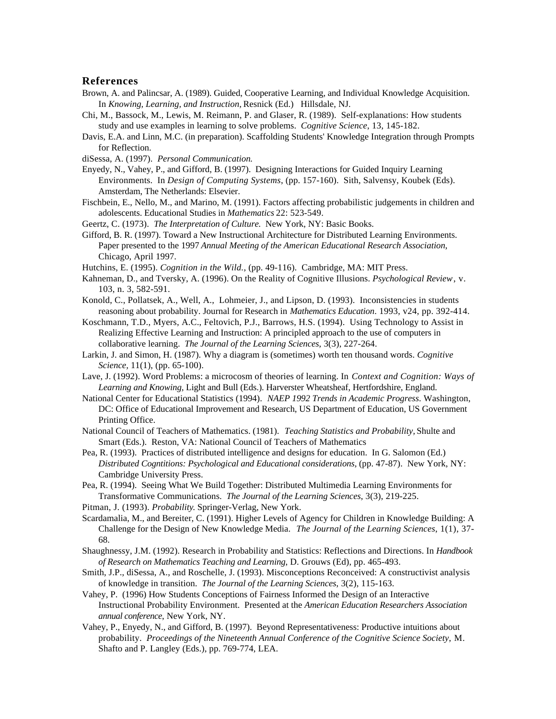### **References**

- Brown, A. and Palincsar, A. (1989). Guided, Cooperative Learning, and Individual Knowledge Acquisition. In *Knowing, Learning, and Instruction,* Resnick (Ed.) Hillsdale, NJ.
- Chi, M., Bassock, M., Lewis, M. Reimann, P. and Glaser, R. (1989). Self-explanations: How students study and use examples in learning to solve problems. *Cognitive Science*, 13, 145-182.
- Davis, E.A. and Linn, M.C. (in preparation). Scaffolding Students' Knowledge Integration through Prompts for Reflection.
- diSessa, A. (1997). *Personal Communication.*
- Enyedy, N., Vahey, P., and Gifford, B. (1997). Designing Interactions for Guided Inquiry Learning Environments. In *Design of Computing Systems*, (pp. 157-160). Sith, Salvensy, Koubek (Eds). Amsterdam, The Netherlands: Elsevier.
- Fischbein, E., Nello, M., and Marino, M. (1991). Factors affecting probabilistic judgements in children and adolescents. Educational Studies in *Mathematics* 22: 523-549.
- Geertz, C. (1973). *The Interpretation of Culture.* New York, NY: Basic Books.
- Gifford, B. R. (1997). Toward a New Instructional Architecture for Distributed Learning Environments. Paper presented to the 1997 *Annual Meeting of the American Educational Research Association*, Chicago, April 1997.
- Hutchins, E. (1995). *Cognition in the Wild.*, (pp. 49-116). Cambridge, MA: MIT Press.
- Kahneman, D., and Tversky, A. (1996). On the Reality of Cognitive Illusions. *Psychological Review*, v. 103, n. 3, 582-591.
- Konold, C., Pollatsek, A., Well, A., Lohmeier, J., and Lipson, D. (1993). Inconsistencies in students reasoning about probability. Journal for Research in *Mathematics Education*. 1993, v24, pp. 392-414.
- Koschmann, T.D., Myers, A.C., Feltovich, P.J., Barrows, H.S. (1994). Using Technology to Assist in Realizing Effective Learning and Instruction: A principled approach to the use of computers in collaborative learning. *The Journal of the Learning Sciences*, 3(3), 227-264.
- Larkin, J. and Simon, H. (1987). Why a diagram is (sometimes) worth ten thousand words. *Cognitive Science,* 11(1), (pp. 65-100).
- Lave, J. (1992). Word Problems: a microcosm of theories of learning. In *Context and Cognition: Ways of Learning and Knowing,* Light and Bull (Eds.). Harverster Wheatsheaf, Hertfordshire, England.
- National Center for Educational Statistics (1994). *NAEP 1992 Trends in Academic Progress*. Washington, DC: Office of Educational Improvement and Research, US Department of Education, US Government Printing Office.
- National Council of Teachers of Mathematics. (1981). *Teaching Statistics and Probability,* Shulte and Smart (Eds.). Reston, VA: National Council of Teachers of Mathematics
- Pea, R. (1993). Practices of distributed intelligence and designs for education. In G. Salomon (Ed.) *Distributed Cogntitions: Psychological and Educational considerations,* (pp. 47-87). New York, NY: Cambridge University Press.
- Pea, R. (1994). Seeing What We Build Together: Distributed Multimedia Learning Environments for Transformative Communications. *The Journal of the Learning Sciences*, 3(3), 219-225.
- Pitman, J. (1993). *Probability*. Springer-Verlag, New York.
- Scardamalia, M., and Bereiter, C. (1991). Higher Levels of Agency for Children in Knowledge Building: A Challenge for the Design of New Knowledge Media. *The Journal of the Learning Sciences*, 1(1), 37- 68.
- Shaughnessy, J.M. (1992). Research in Probability and Statistics: Reflections and Directions. In *Handbook of Research on Mathematics Teaching and Learning*, D. Grouws (Ed), pp. 465-493.
- Smith, J.P., diSessa, A., and Roschelle, J. (1993). Misconceptions Reconceived: A constructivist analysis of knowledge in transition. *The Journal of the Learning Sciences*, 3(2), 115-163.
- Vahey, P. (1996) How Students Conceptions of Fairness Informed the Design of an Interactive Instructional Probability Environment. Presented at the *American Education Researchers Association annual conference*, New York, NY.
- Vahey, P., Enyedy, N., and Gifford, B. (1997). Beyond Representativeness: Productive intuitions about probability. *Proceedings of the Nineteenth Annual Conference of the Cognitive Science Society*, M. Shafto and P. Langley (Eds.), pp. 769-774, LEA.